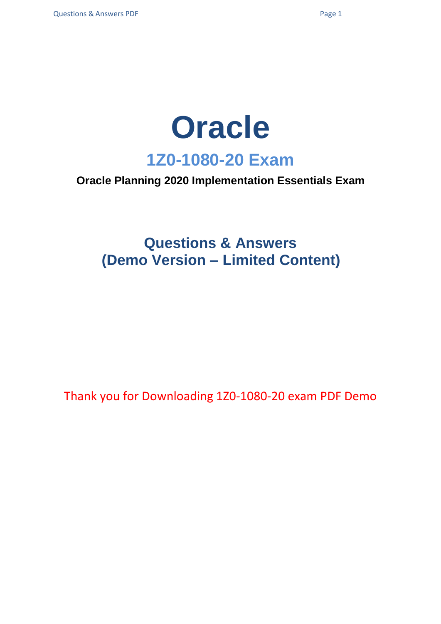

### **Oracle Planning 2020 Implementation Essentials Exam**

## **Questions & Answers (Demo Version – Limited Content)**

Thank you for Downloading 1Z0-1080-20 exam PDF Demo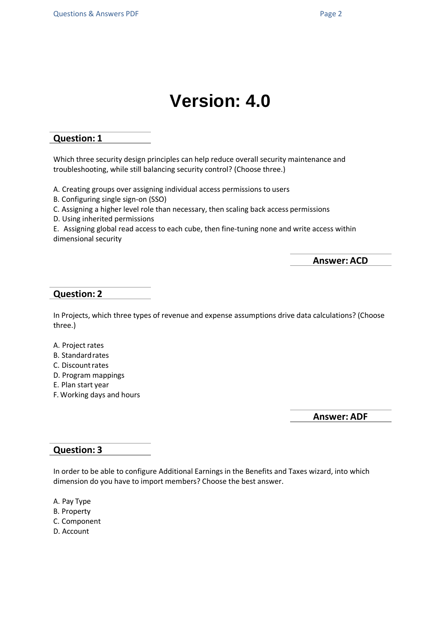# **Version: 4.0**

#### **Question: 1**

Which three security design principles can help reduce overall security maintenance and troubleshooting, while still balancing security control? (Choose three.)

A. Creating groups over assigning individual access permissions to users

B. Configuring single sign-on (SSO)

C. Assigning a higher level role than necessary, then scaling back access permissions

D. Using inherited permissions

E. Assigning global read access to each cube, then fine-tuning none and write access within dimensional security

**Answer: ACD**

#### **Question: 2**

In Projects, which three types of revenue and expense assumptions drive data calculations? (Choose three.)

- A. Project rates
- B. Standardrates
- C. Discountrates
- D. Program mappings
- E. Plan start year
- F. Working days and hours

**Answer: ADF**

#### **Question: 3**

In order to be able to configure Additional Earnings in the Benefits and Taxes wizard, into which dimension do you have to import members? Choose the best answer.

- A. Pay Type
- B. Property
- C. Component
- D. Account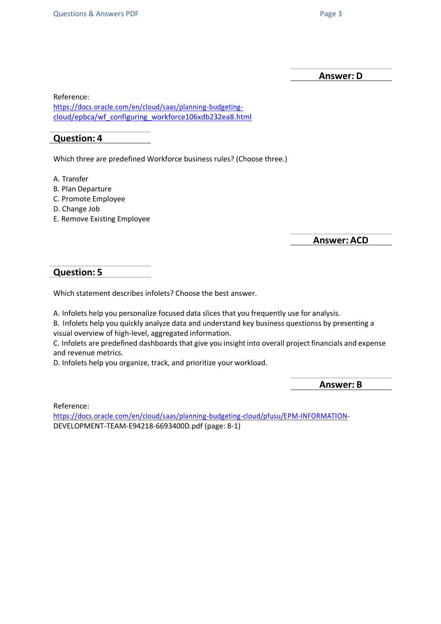**Answer: D**

Reference:

[https://docs.oracle.com/en/cloud/saas/planning-budgeting](https://docs.oracle.com/en/cloud/saas/planning-budgeting-cloud/epbca/wf_configuring_workforce106xdb232ea8.html)[cloud/epbca/wf\\_configuring\\_workforce106xdb232ea8.html](https://docs.oracle.com/en/cloud/saas/planning-budgeting-cloud/epbca/wf_configuring_workforce106xdb232ea8.html)

#### **Question: 4**

Which three are predefined Workforce business rules? (Choose three.)

A. Transfer

- B. Plan Departure
- C. Promote Employee
- D. Change Job
- E. Remove Existing Employee

**Answer: ACD**

#### **Question: 5**

Which statement describes infolets? Choose the best answer.

A. Infolets help you personalize focused data slices that you frequently use for analysis.

B. Infolets help you quickly analyze data and understand key business questionss by presenting a visual overview of high-level, aggregated information.

C. Infolets are predefined dashboards that give you insight into overall project financials and expense and revenue metrics.

D. Infolets help you organize, track, and prioritize your workload.

**Answer: B**

Reference:

[https://docs.oracle.com/en/cloud/saas/planning-budgeting-cloud/pfusu/EPM-INFORMATION-](https://docs.oracle.com/en/cloud/saas/planning-budgeting-cloud/pfusu/EPM-INFORMATION)DEVELOPMENT-TEAM-E94218-6693400D.pdf (page: 8-1)